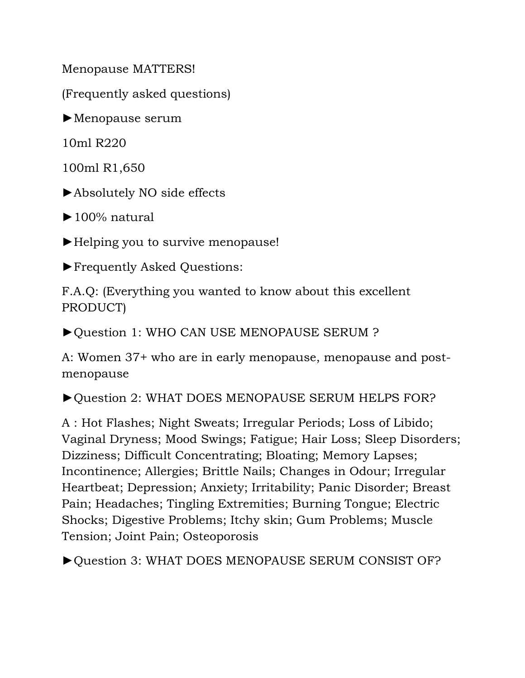Menopause MATTERS!

(Frequently asked questions)

 $\blacktriangleright$  Menopause serum

10ml R220

100ml R1,650

►Absolutely NO side effects

 $\blacktriangleright$  100% natural

►Helping you to survive menopause!

►Frequently Asked Questions:

F.A.Q: (Everything you wanted to know about this excellent PRODUCT)

►Question 1: WHO CAN USE MENOPAUSE SERUM ?

A: Women 37+ who are in early menopause, menopause and postmenopause

►Question 2: WHAT DOES MENOPAUSE SERUM HELPS FOR?

A : Hot Flashes; Night Sweats; Irregular Periods; Loss of Libido; Vaginal Dryness; Mood Swings; Fatigue; Hair Loss; Sleep Disorders; Dizziness; Difficult Concentrating; Bloating; Memory Lapses; Incontinence; Allergies; Brittle Nails; Changes in Odour; Irregular Heartbeat; Depression; Anxiety; Irritability; Panic Disorder; Breast Pain; Headaches; Tingling Extremities; Burning Tongue; Electric Shocks; Digestive Problems; Itchy skin; Gum Problems; Muscle Tension; Joint Pain; Osteoporosis

►Question 3: WHAT DOES MENOPAUSE SERUM CONSIST OF?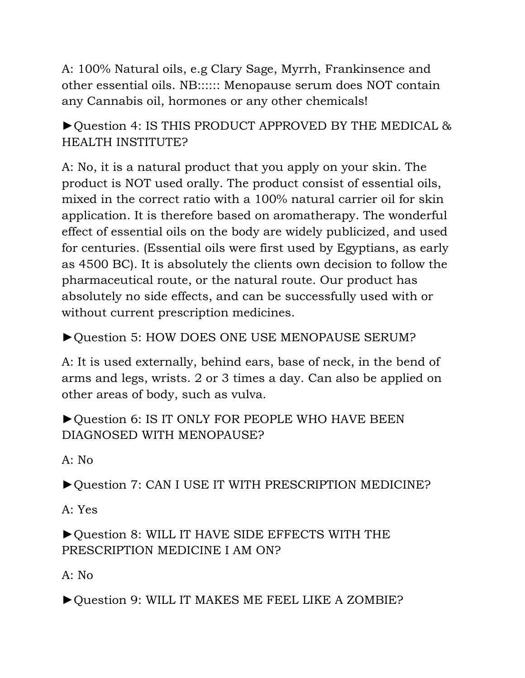A: 100% Natural oils, e.g Clary Sage, Myrrh, Frankinsence and other essential oils. NB:::::: Menopause serum does NOT contain any Cannabis oil, hormones or any other chemicals!

►Question 4: IS THIS PRODUCT APPROVED BY THE MEDICAL & HEALTH INSTITUTE?

A: No, it is a natural product that you apply on your skin. The product is NOT used orally. The product consist of essential oils, mixed in the correct ratio with a 100% natural carrier oil for skin application. It is therefore based on aromatherapy. The wonderful effect of essential oils on the body are widely publicized, and used for centuries. (Essential oils were first used by Egyptians, as early as 4500 BC). It is absolutely the clients own decision to follow the pharmaceutical route, or the natural route. Our product has absolutely no side effects, and can be successfully used with or without current prescription medicines.

►Question 5: HOW DOES ONE USE MENOPAUSE SERUM?

A: It is used externally, behind ears, base of neck, in the bend of arms and legs, wrists. 2 or 3 times a day. Can also be applied on other areas of body, such as vulva.

►Question 6: IS IT ONLY FOR PEOPLE WHO HAVE BEEN DIAGNOSED WITH MENOPAUSE?

A: No

►Question 7: CAN I USE IT WITH PRESCRIPTION MEDICINE?

A: Yes

►Question 8: WILL IT HAVE SIDE EFFECTS WITH THE PRESCRIPTION MEDICINE I AM ON?

A: No

►Question 9: WILL IT MAKES ME FEEL LIKE A ZOMBIE?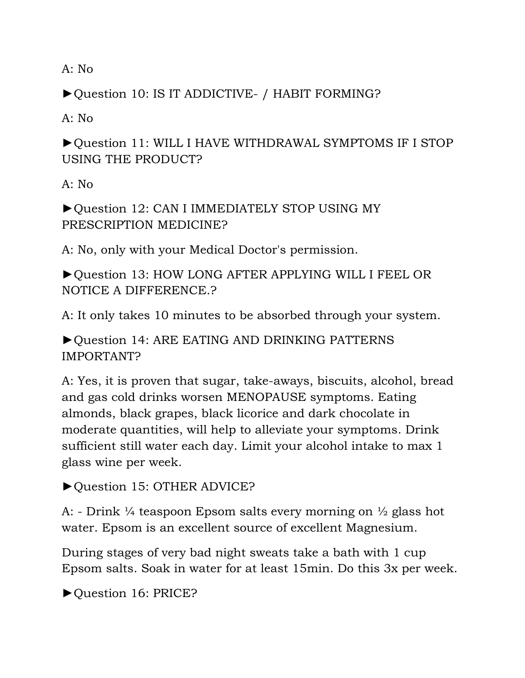A: No

►Question 10: IS IT ADDICTIVE- / HABIT FORMING?

A: No

►Question 11: WILL I HAVE WITHDRAWAL SYMPTOMS IF I STOP USING THE PRODUCT?

A: No

►Question 12: CAN I IMMEDIATELY STOP USING MY PRESCRIPTION MEDICINE?

A: No, only with your Medical Doctor's permission.

►Question 13: HOW LONG AFTER APPLYING WILL I FEEL OR NOTICE A DIFFERENCE.?

A: It only takes 10 minutes to be absorbed through your system.

►Question 14: ARE EATING AND DRINKING PATTERNS IMPORTANT?

A: Yes, it is proven that sugar, take-aways, biscuits, alcohol, bread and gas cold drinks worsen MENOPAUSE symptoms. Eating almonds, black grapes, black licorice and dark chocolate in moderate quantities, will help to alleviate your symptoms. Drink sufficient still water each day. Limit your alcohol intake to max 1 glass wine per week.

►Question 15: OTHER ADVICE?

A: - Drink  $\frac{1}{4}$  teaspoon Epsom salts every morning on  $\frac{1}{2}$  glass hot water. Epsom is an excellent source of excellent Magnesium.

During stages of very bad night sweats take a bath with 1 cup Epsom salts. Soak in water for at least 15min. Do this 3x per week.

►Question 16: PRICE?